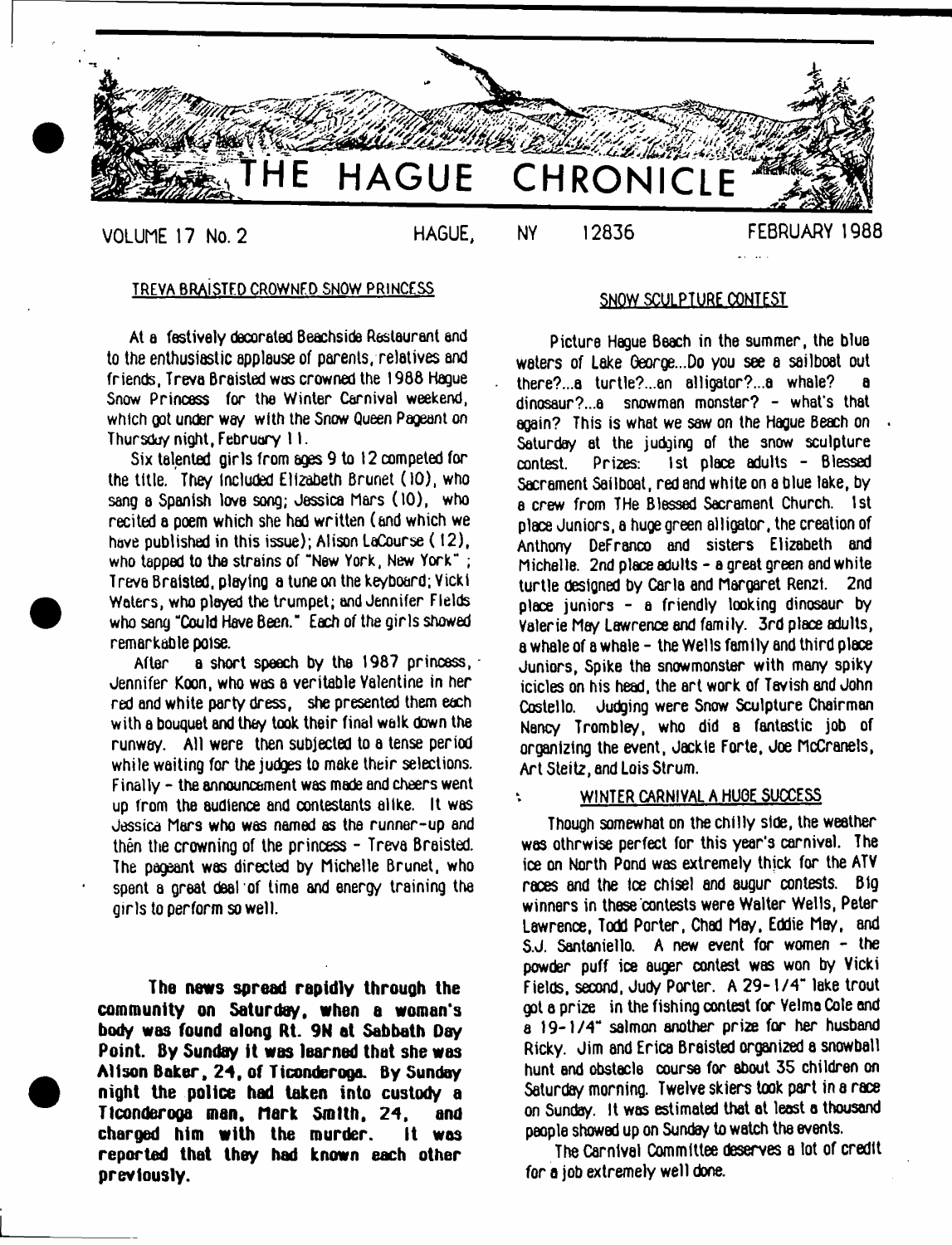

#### TREVA BRAiSTFD CROWNED SNOW PRINCESS

At a festively decorated Beachside Restaurant and to the enthusiastic applause of parents, relatives and friends. Treva Braisted was crowned the 19B8 Hague Snow Princess for the Winter Carnival weekend, which got under way with the Snow Queen Pageant on Thursday night, February 11.

Six talented girls from ages 9 to 12 competed for the title. They Included Elizabeth Brunet (10), who sang a Spanish love song; Jessica Mars (10). who recited a poem which she had written (and which we have published in this issue); Alison LaCourse (12), who tapped to the strains of "New York, New York" ; Treva Braisted. playing a tune on the keyboard; Vicki Waters, who ployed the trumpet; and Jennifer Fields who sang "Could Have Been." Each of the girls showed remarkable poise.

After a short speech by the 1987 princess, Jennifer Koon, who was a veritable Valentine in her red and white party dress, she presented them each with a bouquet and they took their final walk down the runway. All were then subjected to a tense period while waiting for the judges to make their selections. Finally - the announcement was made and cheers went up from the audience and contestants alike. It was Jessica Mars who was named as the runner-up and then the crowning of the princess - Treva Braisted. The pageant was directed by Michelle Brunet, who spent a great deal of time and energy training the girls to perform so well.

**The news spread rapidly through the community on Saturday, when a woman's body was found along Rt. 9N at Sabbath Day Point. By Sunday it was learned that she was Alison Baker, 24, of Ticonderoga. By Sunday night the police had taken into custody a Ticonderoga man, Mark Smith, 24, and charged him with the murder. It was reported that they had known each other previously.**

### SNOW SCULPTURE CONTEST

Picture Hague Beach in the summer, the blue waters of Lake George...Do you see a sailboat out there?...a turtle?...an alligator?...a whale? a dinosaur?...a snowman monster? - what's that again? This is what we saw on the Hague Beach on Saturday at the judging of the snow sculpture contest. Prizes: 1st place adults - Blessed Sacrament Sailboat, red and white on a blue lake, by a crew from THe Blessed Sacrament Church. 1st place Juniors, a huge green alligator, the creation of Anthony DeFranco and sisters Elizabeth and Michelle. 2nd place adults - a great green and white turtle designed by Carla and Margaret Ren2i. 2nd place juniors - a friendly looking dinosaur by Valerie Mery Lawrence end family. 3rd place adults, a whale of a whale - the Wells family and third place Juniors, Spike the snowmonster with many spiky icicles on his head, the art work of Tavish and John Costello. Judging were Snow Sculpture Chairman Nancy Trombley, who did a fantastic job of organizing the event, Jackie Forte, Joe McCranels, Art Steitz, and Lois Strum.

#### WINTER CARNIVAL A HUGE SUCCESS

¥.

Though somewhat on the chilly side, the weather was othrwise perfect for this year's carnival. The ice on North Pond was extremely thjck for the ATV races and the Ice chisel and augur contests. Big winners in these contests were Walter Wells, Peter Lawrence, Todd Porter, Chad May, Eddie May, and S.J. Santaniello. A new event for women - the powder puff ice auger contest was won by Vicki Fields, second, Judy Porter. A 29-1/4" lake trout got a prize in the fishing contest for Velmo Cole and a 19-1/4" salmon another prize for her husband Ricky. Jim and Erica Braisted organized a snowball hunt and obstacle course for about 35 children on Saturday morning. Twelve skiers took part in a race on Sunday. It was estimated that at least a thousand people showed up on Sunday to watch the events.

The Carnlvel Committee deserves a lot of credit for a job extremely well done.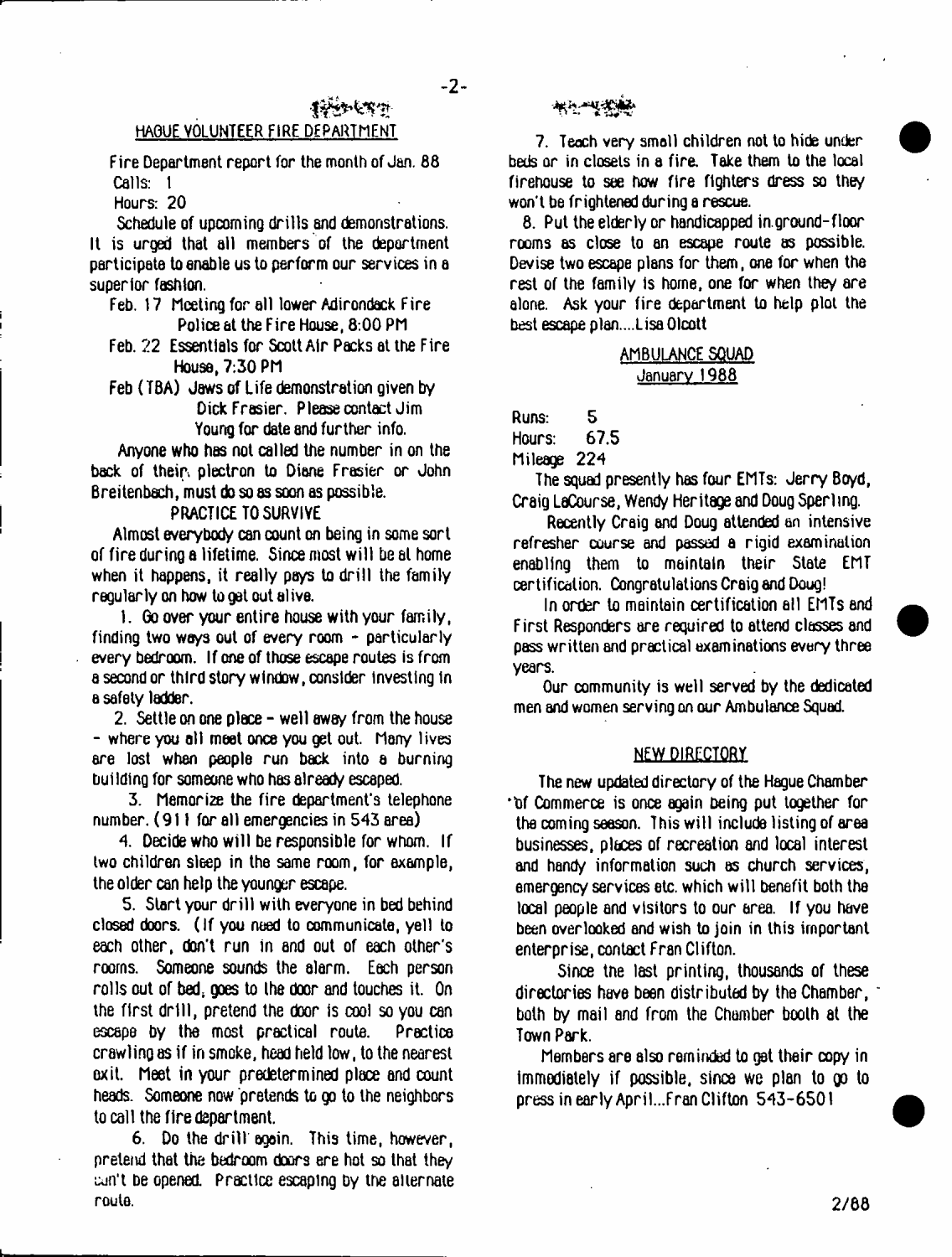# HAOUE VOLUNTEER FIRE DEPARTMENT

Fire Department report for the month of Jan. 88 Calls: 1

**Transferm** 

Hours: 20

Schedule of upcoming drills and demonstrations. It is urged that all members of the department participate to enable us to perform our services in a superior fashion.

- Feb. i 7 Meeting for all lower Adirondack Fire Police at the Fire House, 8:00 PM
- Feb. 22 Essentials for Scott Air Packs at the Fire House, 7:30 PM
- Feb ( TBA) Jaws of Life demonstration given by Dick Frasier. Please contact Jim Young for date and further info.

Anyone who has not called the number in on the back of their, plectron to Diane Frasier or John Breitenbach, must do so as soon as possible.

# PRACTICE TO SURVIVE

Almost everybody can count on being in some sort of fire during a lifetime. Since most w ill be at home when it happens, it really pays to drill the family regularly on how to get out alive.

1. Go over your entire house with your family, finding two ways out of every room - particularly every bedroom. If one of those escape routes is from a second or third story window, consider Investing tn a safety ladder.

2. Settle on one place - well away from the house - where you alt meet once you get out. Many lives are lost when people run back into a burning building for someone who has already escaped.

3. Memorize the fire department's telephone number. (911 for all emergencies in 543 area)

4. Decide who will be responsible for whom. If two children sleep in the same room, for example, the older can help the younger escape.

5. Start your drill with everyone in bed behind closed doors. (If you need to communicate, yell to each other, don't run in and out of each other's rooms. Someone sounds the alarm. Each person rolls out of bed, goes to the door and touches it. On the first drill, pretend the door is cool so you can escape by the most practical route. Practice crawling as if in smoke, head held low, to the nearest exit. Meet in your predetermined place and count heads. Someone now pretends to go to the neighbors to call the fire department.

6. Do the drill again. This time, however, preteiui that the bedroom doors ere hot so that they cun't be opened. Practice escaping by the alternate route.

# .1 -■\* 'f,

7. Teach very small children not to hide under beds or in closets in a fire. Take them to the local firehouse to see how fire fighters dress so they won't be frightened during a rescue.

8. Put the elderly or handicapped in.ground-floor rooms as close to an escape route as possible. Devise two escape plans for them, one for when the rest of the family is home, one for when they are alone. Ask your fire department to help plot the best escape plan....Lisa Olcott

# AMBULANCE SQUAD January 1988

Runs: 5<br>Hours: 67.5

Hours:

Mileage 224

The squad presently has four EMTs: Jerry Boyd, Craig LaCourse, Wendy Heritage and Doug Sperling.

Recently Craig and Doug attended an intensive refresher course and passed a rigid examination enabling them to maintain their State EMT certification. Congratulations Craig and Doug!

In order to maintain certification all EMTs and First Responders are required to attend classes and pass written and practical examinations every three years.

Our community is well served by the dedicated men and women serving on our Ambulance Squad.

#### NEW DIRECTORY

The new updated directory of the Hague Chamber "df Commerce is once again being put together for the coming season. This will include listing of area businesses, places of recreation and local interest and handy information such as church services, emergency services etc. which w ill benefit both the local people and visitors to our area. If you have been overlooked and wish to join in this important enterprise, contact Fran Clifton.

Since tne last printing, thousands of these directories have been distributed by the Chamber, \* both by mail and from the Chamber booth at the Town Park.

Members are also reminded to get their copy in immediately if possible, since we plan to go to press in early April..Fran Clifton 543-6501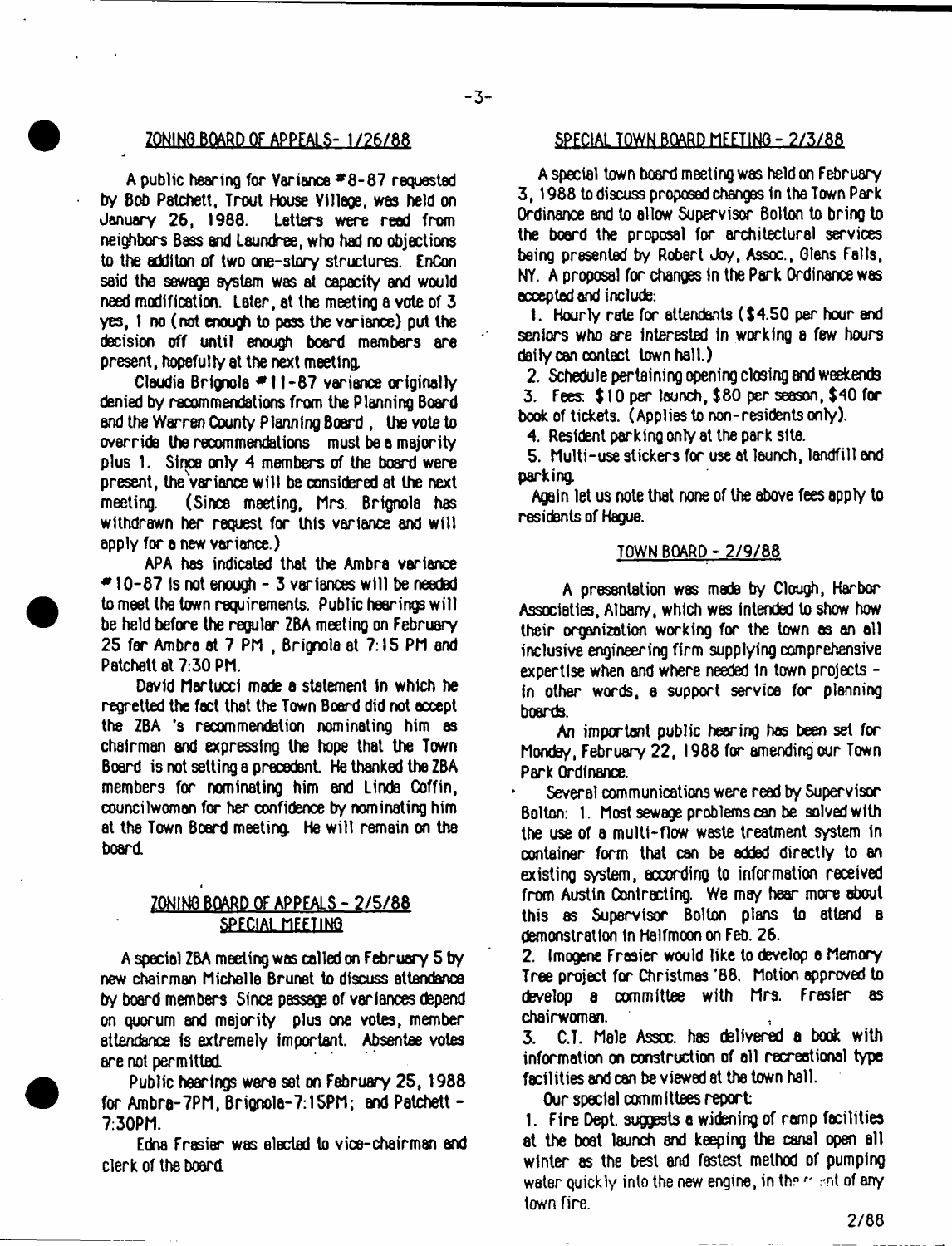#### ZONING BOARD OF APPEALS- 1/26/88 SPECIAL TOWN BOARD MEETING - 2/3/88

A public hearing for Variance # 8-87 requested by Bob Patchett, Trout House Village, was held on January 26, 1988. Letters were read from neighbors Bass and Laundree, who had no objections to the additon of two one-story structures. EnCon said the sewage system was at capacity and would need modification. Later, at the meeting a vote of 3 yes, 1 no (not enough to pass the variance) put the decision off until enough board members are present, hopefully at the next meeting,

Claudia Brignola  $*11-87$  variance originally denied by recommendations from the Planning Board and the Warren County P lanning Board , the vote to override the recommendations must be a majority plus 1. Since only 4 members of the board were present, the Variance w ill be considered at the next meeting. (Since meeting, Mrs. Brignola has withdrawn her request for this variance and will apply for a new variance.)

APA has indicated that the Ambra variance *\** 10-87 is not enough - 3 variances w ill be needed to meet the town requirements. Public hearings w ill be held before the regular ZBA meeting on February 25 far Ambra at 7 PM , Brignola at 7:15 PM and Patchett at 7:30 PM.

David Martucci made a statement in which he regretted the fact that the Town Board did not accept the ZBA \*s recommendation nominating him as chairman and expressing the hope that the Town Board is not setting a precedent He thanked the ZBA members for nominating him and Linda Coffin, councilwoman for her confidence by nominating him at the Town Board meeting. He w ill remain on the board

# ZONING BOARD OF APPEALS - 2/5/88 SPECIAL MEETING

i

A special ZBA meeting was called on February 5 by new chairman Michelle Brunet to discuss attendance by board members Since passage of variances depend on quorum and majority plus one votes, member attendance is extremely important. Absentee votes are not permitted

Public hearings were **S8t** on February 25, 1988 for Ambra-7PM, Brignola-7:15PM; and Patchett -7:30PM.

Edna Frasier was elected to vice-chairman and clerk of the board

A special town board meeting was held on February 3, 1988 to discuss proposed changes in the Town Park Ordinance and to allow Supervisor Bolton to bring to the board the proposal for architectural services being presented by Robert Jay, Assoc., Glens Fells, NY. A proposal for changes in the Park Ordinance was accepted and include:

1. Hourly rate for attendants  $$4.50$  per hour and seniors who are interested in working a few hours daily can contact town hall.)

2. Schedule pertaining opening closing and weekends  $3.$  Fees:  $$10$  per launch,  $$80$  per season,  $$40$  for book of tickets. (Applies to non-residents only).

4. Resident parking only at the park site.

5. Multi-use stickers for use at launch, landfill and parking.

Again let us note that none of the above fees apply to residents of Hague.

#### TOWN BOARD - 2/9/88

A presentation was made by Clough, Harbor Assoctattes, Albany, which was Intended to show how their organization working for the town as an all inclusive engineering firm supplying comprehensive expertise when and where needed In town projects in other words, a support service for planning boards.

An impxtant public hexing has been set *for* Monday, February 22, 1988 for amending our Town Park Ordinance.

Several communications were read by Supervisor Bolton: 1. Most sewage problems can be solved with the use of a multi-flow waste treatment system in container form that can be added directly to an existing system, according to information received from Austin Contracting. We may hear more about this as Supervisor Bolton plans to attend a demonstration in Halfmoon on Feb. 26.

2. Imogene Frasier would like to develop o Memory Tree project for Christmas '88. Motion approved to develop a committee with Mrs. Frasier as chairwoman.

3. C.T. Male Assoc. has delivered a book with information on construction of all recreational type facilities and can be viewed at the town hall.

Our special committees report:

1. Fire Dept, suggests a widening of ramp facilities at the boat launch and keeping the canal open all winter as the best and fastest method of pumping water quickly into the new engine, in the  $\alpha$  ant of any town fire.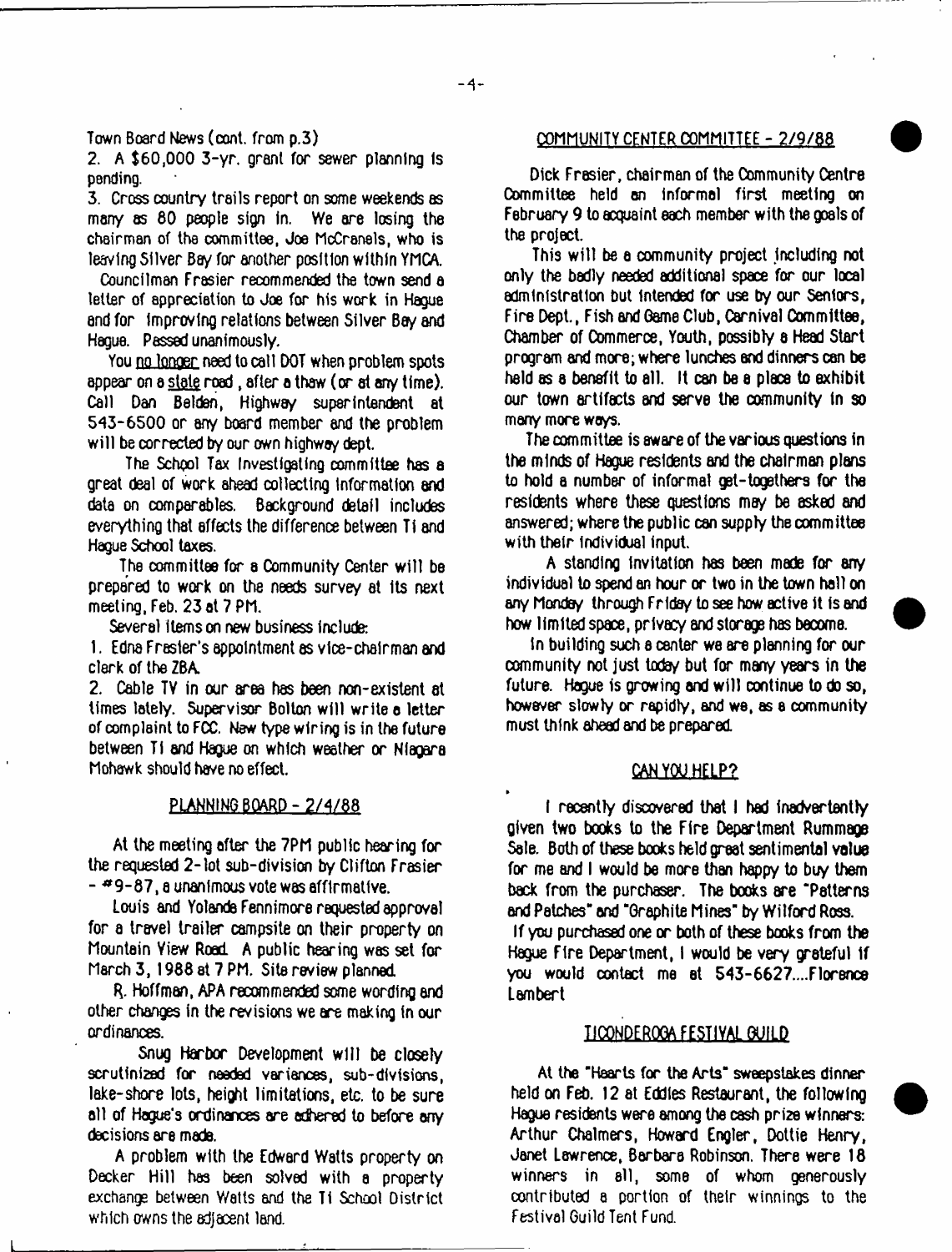Town Board News (oont. from p.3)

2. A \$60,000 3-yr. grant for sewer planning Is pending.

3. Cross country trails report on some weekends as many as 80 people sign In. We are losing the chairman of the committee, Joe MoCranels, who is leaving Silver Bay for another position within YMCA.

Councilman Frasier recommended the town send a tetter of appreciation to Joe for his work in Hague end for improving relations between Silver Bey and Hague. Passed unanimously.

You no longer need to call DOT when problem spots appear on a state road, after a thaw (or at any time). Call Dan Belden, Highway superintendent at 543-6500 or any board member and the problem will be corrected by our own highway dept.

The School Tax Investigating committee has a great deal of work ahead collecting information end data on comparables. Background detail includes everything that effects the difference between Ti and Hague School taxes.

The committee for a Community Center will be prepared to work on the needs survey at Its next meeting, Feb. 23 at 7 Ph.

Several items on new business include:

1. Edna Frasier's appointment as vice-chairman and clerk of the ZBA.

2. Cable TV in our area has been non-existent at times lately. Supervisor Bolton w ill write o letter of complaint to FCC. New type wiring is in the future between TI and Hague on which weather or Niagara Mohawk should have no effect.

### PLANNING BOARD - 2/4/88

At the meeting after the 7PM public hearing for the requested 2 -lot sub-division by Clifton Frasier - \*9 -8 7 , a unanimous vote was affirmative.

Louis and Yolanda Fennimore requested approval for a travel trailer campsite on their property on Mountain Yiew Road A public hearing was set for March 3,1988 at 7 PM. Site review planned.

R. Hoffman, APA recommended some wording and other changes in the revisions we are making in our ordinances.

Snug Harbor Development will be closely scrutinized for needed variances, sub-divisions, lake-shore lots, height limitations, etc. to be sure all of Hogue's ordinances are adhered to before any decisions are made.

A problem with the Edward Watts property on Decker Hill has been solved with a property exchange between Watts and the Ti School District which owns the adjacent land.

#### COMMUNITY CENTER COMMITTEE - 2/9/88

Dick Frasier, chairman of the Community Centre Committee held on informal first meeting on February 9 to acquaint each member with the goals of the project.

This w ill be a community project including not only the badly needed additional space for our local administration but intended for use by our Seniors, Fire Dept., Fish and Game Club, Carnival Committee, Chamber of Commerce, Youth, possibly a Head Start program and more; where lunches and dinners can be held as a benefit to all. It can be a place to exhibit our town artifacts and serve the community in so many more ways.

The committee is aware of the various questions in the minds of Hague residents and the chairman plans to hold a number of informal get-togethers for the residents where these questions may be asked and answered; where the public can supply the committee with their individual input.

A standing Invitation has been made for any individual to spend an hour or two in the town hall on any Monday through Friday to see how active it is and how limited space, privacy and storage has beoome.

in building such a center we are planning for our community not just today but for many years in the future. Hague is growing and will continue to do so, however slowly or rapidly, and we, as a community must think ahead and be prepared.

### **CAN YOU HELP?**

I recently discovered that I had inadvertently given two books to the Fire Department Rummage Sole. Both of these books held great sentimental value for me and I would be more than happy to buy them back from the purchaser. The books are "Patterns and Patches" and "Graphite Mines" by Wilford Ross. If you purchased one or both of these books from the

Hague Fire Department, I would be very grateful If you would contact me at 543-6627....Florence Lambert

# UCQNDERQOA FESTIVAL GUILD

At the "Hearts for the Arts" sweepstakes dinner held on Feb. 12 at Eddies Restaurant, the following Hague residents were among the cash prize winners: Arthur Chalmers, Howard Engler, Dottie Henry, Janet Lawrence, Barbara Robinson. There were 18 winners in ell, some of whom generously contributed a portion of their winnings to the Festival Guild Tent Fund.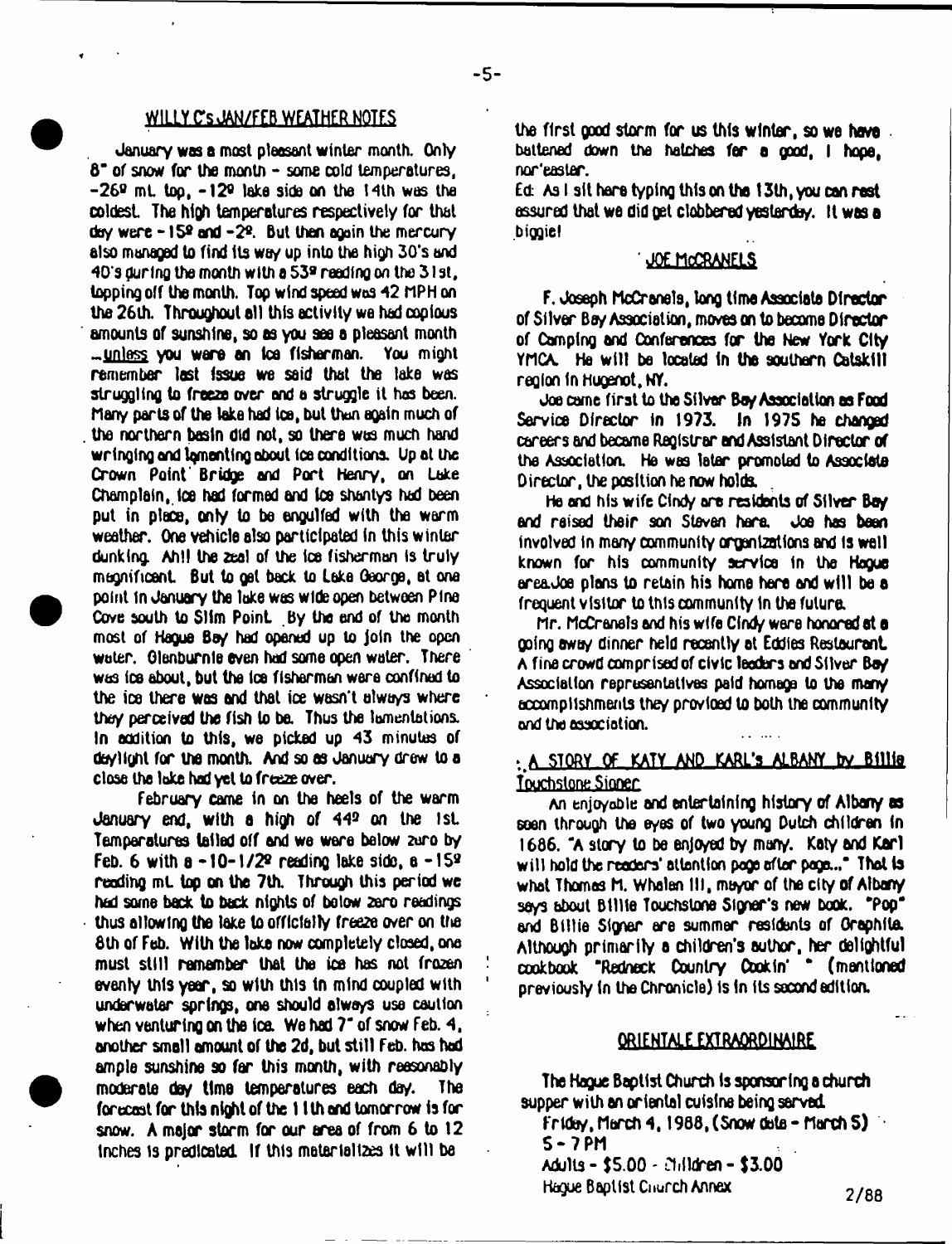#### **WILLY CsJAN/FEB WEATHER NOTES**

January was a most pleasant winter month. Only  $8^{\circ}$  of snow for the month  $-$  some cold temperatures.  $-26$ <sup>g</sup> mt, top,  $-12$ <sup>g</sup> lake side on the 14th was the coldest The high temperatures respectively for that doy were  $-15^\circ$  and  $-2^\circ$ . But then again the mercury also managed to find its wo/ up into the high 3Q's and 40\*s during the month with a S39 reeding on the 3 1 st, topping off the month. Top wind speed was 42 MPH on the 26th. Throughout all this activity we had copious amounts of sunshine, so as you see a pleasant month - unless you ware an tea fisherman. You might remember last issue we said that the lake was struggling to freeze over and a struggle it has been. Many parts of the lake had toe, but than again much of the northern basin did not, so there was much hand wringing and lamenting about Ice conditions. Up at the Crown Point Bridge and Port Henry, on Lake Champlain, Ice had formed and Ice shantys had been put in place, only to be engulfed with the warm weather. One vehicle also participated in this winter dunking. Ah!! the 2eal of the Ice fisherman Is truly magnificent But to get back to Lake George, at one point In January the take was wide open between Pine Cove south to SHm Point By the end of the month most of Hague Bo/ had opened up to join the open water. Olenburnle even had some open water. There was ice about, but the ice fishermen were confined to the ice there was and that ice wasn't always where the/ perceived the fish to be. Thus the lamentations. In addition to this, we picked up 43 minutes of do/light for the month. And so as January drew to a close the lake hod yet to freeze over.

February came in on the heels of the warm January end, with a high of 44® on the 1st Temperatures tailed off and we were below zuro by Feb. 6 with  $a - 10-1/2<sup>o</sup>$  reading lake side,  $a - 15<sup>o</sup>$ reading mt, top on the 7th. Through this period we had some back to back nights of below zero readings thus allowing the lake to officially freeze over on the 8th of Feb. With the lake now completely closed, one must still remember that the ice has not frozen evenly this year, so with this In mind coupled with 1 underwater springs, one should always use caution when venturing on the ice. We had 7<sup>-</sup> of snow Feb. 4, another small amount of the 2d, but still Feb. has had ample sunshine so far this month, with reasonably moderate da/ time temperatures each day. The forecast for this night of the 11 th end tomorrow is for snow. A major storm for our area of from 6 to 12 Inches 1s predicated. If this materializes it w ill be

the first good storm for us this winter, so we have battened down the hatches for a good, I hope, nor easter.

**Ed** As I sit hare typing this on the 13th, you can rest assured that we did get clobbered yesterday. It was a **biggie I**

#### **JOE MOCRANELS**

F. Joseph McCranels, long time Associate Director of Silver Bay Association, moves on to become Director of Camping and Conferences for the New York City YMCA. He will be located in the southern Catskill reQion In Hugenot, NY.

Joe came first to the Silver Boy Association as Food Service Director in 1973. In 1975 he changed careers and became Registrar and Assistant Director of the Association. He was later promoted to Associate Director, the position he now holds.

He and his wife Cindy are residents of Silver Bay end raised their son Steven hare. Joe has been involved in many community organizations and is well known for his community service in the Hogue xea.Joe plans to retain his home here and w ill be a frequent visitor to this community in the future.

hr. McCranels and his wife Cindy ware honored at a going away dinner held recently ot Eddies Restaurant A fine crowd comprised of civic leaders and Silver Boy. Association representatives paid homage to the many accomplishments they provided to both the community and the associotion.

# • A STORY OF KATY AND KARL's ALBANY by Billie Touchstone Siooer

An enjoyable and entertaining history of Albany as eoen through the eyes of two young Dutch children in  $1686$ . "A story to be enjoyed by many. Katy and Karl will hold the readers' attention page after page..." That is what Thomas M. Whalen III, mayor of the city of Albany seys about Billie Touchstone Signer's new book. "Pop" and Billie Signer are summer residents of Oraphita. Although primarily a children's author, her delightful cookbook "Redneck Country Cookin' \* (mentioned previously In the Chronicle) Is In its second edition.

# *<u>ORIENTALE EXTRAORDINAIRE</u>*

The Hague Baptist Church is sponsoring a church supper with an oriental cuisine being served.

Friday, March 4, 1988, (Snow data - March  $5)$ S-7PM

Adults - \$5.00 - Children - \$3.00 Hague Baptist Cnurch Annex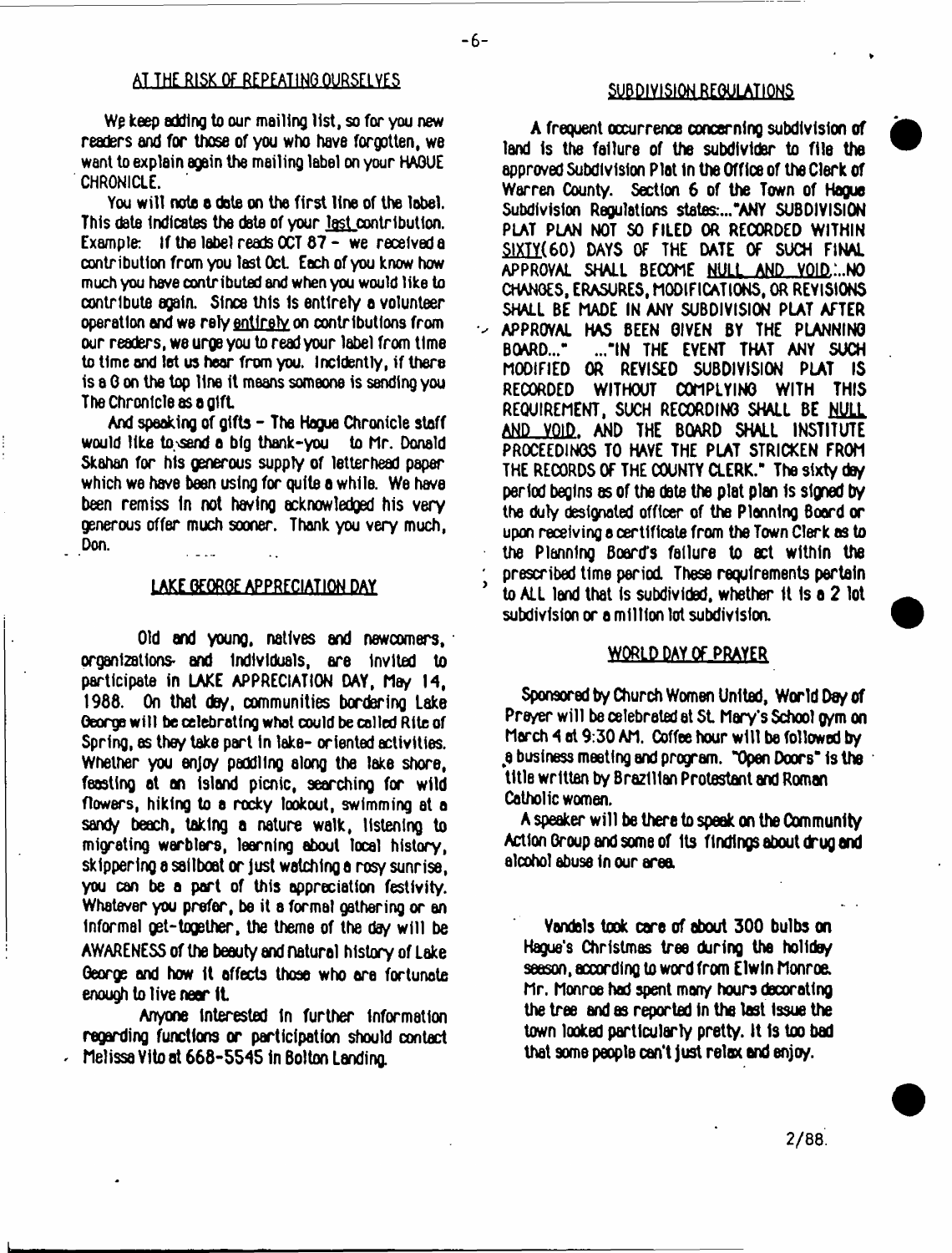# **AT THE RISK OF REPEAT** 1**MO.OURSELVES SUB DIY**1**SIQK JTEQULATIQNS**

Wp keep adding to our mailing list, so for you new readers and for those of you who have forgotten, we want to explain again the mailing label on your HAGUE CHRONICLE.

You will note a date on the first line of the label. This date Indicates the date of your last contribution. Example: If the label reads OCT 67 - we received a contribution from you last Oct Each of you know how much you have contributed and when you would like to contribute again. Since this Is entirely a volunteer operation and we relv entirely on contributions from our readers, we urge you to read your label from time to time and let us hear from you. Incldently, if there is a 0 on the top line it means someone is sending you The Chronicle as a gift.

And speaking of gifts - The Hague Chronicle staff would like to.vsend a big thank-you to hr. Donald Skahan for his generous supply of letterhead paper which we have been using for quite a while. We have been remiss In not having acknowledged his very generous offer much sooner. Thank you very much, Don.

#### LAKE GEORGE APPRECIATION DAY

Old and young, natives and newcomers, organizations- and Individuals, are Invited to participate in LAKE APPRECIATION DAY, May 14, 1988. On that day, communities bordering Lake George will be celebrating what could be called Rite of Spring, as they take part in lake- oriented activities. Whether you enjoy paddling along the lake shore, feasting at an island picnic, searching for wild flowers, hiking to a rocky lookout, swimming at a sandy beach, taking a nature walk, listening to migrating warblers, learning about local history, skippering a sailboat or just watching a rosy sunrise, you can be a part of this appreciation festivity. Whatever you prefer, be it a formal gathering or an informal get-together, the theme of the day will be AWARENESS of the beauty and natural history of Lake George and how it affects those who are fortunate enough to live near 1L

Anyone Interested in further information regarding functions or participation should contact Melissa Vito at 668-5545 in Bolton Landing.

A frequent occurrence concerning subdivision of land is the failure of the subdivider to file the approved Subdivision Plat in the Office of the Clerk of Warren County. Section 6 of the Town of Hague Subdivision Regulations states:..."ANY SUBDIVISION PLAT PLAN NOT SO FILED OR RECORDED WITHIN SIXTY(60) DAYS OF THE DATE OF SUCH FINAL APPROVAL SHALL BECOME NULL AND \_VQ1D.:..N0 CHANGES, ERASURES, MODIFICATIONS, OR REVISIONS SHALL BE MADE IN ANY SUBDIVISION PLAT AFTER V APPROVAL HAS BEEN GIVEN BY THE PLANNING ..."IN THE EVENT THAT ANY SUCH MODIFIED OR REVISED SUBDIVISION PLAT IS RECORDED WITHOUT COMPLYING WITH THIS REQUIREMENT, SUCH RECORDING SHALL BE NULL AND VOID. AND THE BOARD SHALL INSTITUTE PROCEEDINGS TO HAVE THE PLAT STRICKEN FROM THE RECORDS OF THE COUNTY CLERK." The sixty day period begins as of the date the plat plan Is signed by the duly designated officer of the Planning Board or upon receiving a certificate from the Town Clerk as to the Planning Board's failure to act within the ' prescribed time period These requirements pertain to ALL land that is subdivided, whether it is a 2 lot subdivision or a million lot subdivision.

#### WORLD DAY OF PRAYER

Sponsored by Church Women United, World Day of Prayer will be celebrated at St. Mary's School gym on March 4 at 9:30 AM. Coffee hour will be followed by *\$* business meeting and program. "Open Doxs" Is the title written by Brazilian Protestant and Roman Catholic women.

A speaker will be there to speak on the Community Action Group and some of Its findings about drug and alcohol abuse in our area.

Vandals took care of about 300 bulbs on Hague's Christmas tree during the holiday season, according to word from Elwin Monroe. Mr. Monroe had spent many hours decorating the tree and as reported in the last issue the town looked particularly pretty. It is too bad that 9ome people can't Just relax and enjoy.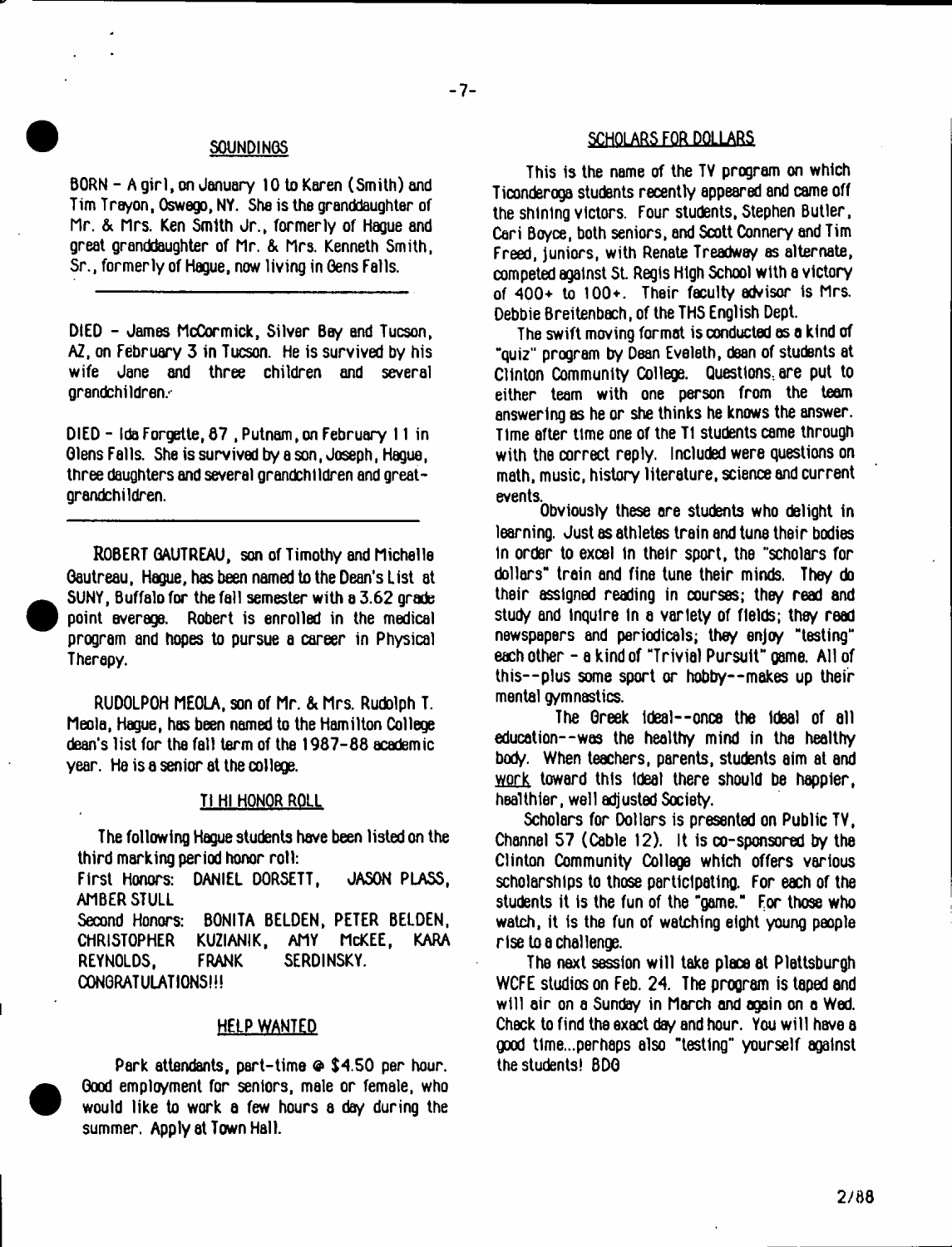BORN - A girl, on January 10 to Karen (Smith) and Tim Trayon, Oswego, NY. She is the granddaughter of Hr. & nrs. Ken Smith Jr., formerly of Hague and great granddaughter of Mr. & Mrs. Kenneth Smith, Sr., formerly of Hague, now living in Gens Falls.

DIED - James McCormick, Silver Bey and Tucson, AZ, on February 3 in Tucson, He is survived by his wife Jane and three children and several grandchildren.-

DIED - Ida Forgette, 67 , Putnam, on February 11 in Glens Falls. She is survived by a son, Joseph, Hague, three daughters and several grandchildren and greatgrandchildren.

ROBERT GAUTREAU, son of Timothy and Michelle Gautreau, Hague, has been named to the Dean's List at SUNY, Buffalo for the fall semester with a 3.62 grade point average. Robert is enrolled in the medical program and hopes to pursue a career in Physical Therapy.

RUDOLPOH MEOLA, son of Mr. & Mrs. Rudolph T. Meola, Hague, has been named to the Hamilton College dean's list for the fall term of the 1987-88 academic year. He is a senior at the college.

#### TI HI HONOR ROLL

The following Hague students have been listed on the third marking period honor roll:

First Honors: DANIEL DORSETT, JASON PLASS, AMBER STULL Second Honors: BONITA BELDEN, PETER BELDEN, CHRISTOPHER KUZIANIK, AMY McKEE, KARA REYNOLDS. FRANK SERDINSKY. CONGRATULATIONS!!!

## HELP WANTED

Park attendants, part-time ® \$4.50 per hour. Good employment for seniors, male or female, who would like to work a few hours a day during the summer. Apply at Town Hall.

# SOUNDINGS SOUNDINGS SCHOLARS FOR DOLLARS

 $-7-$ 

This is the name of the TV program on which Ticonderoga students recently appeared and came off the shining victors. Four students, Stephen Butler, Cari Boyce, both seniors, and Scott Connery and Tim Freed, juniors, with Renate Treadway as alternate, competed against St. Regis High School with a victory of 400+ to 100+. Their faculty advisor is Mrs, Debbie Breitenbach, of the THS English Dept.

The swift moving format is conducted os a kind of "quiz" program by Dean Eveleth, dean of students at Clinton Community College. Questions., are put to either team with one person from the team answering as he or she thinks he knows the answer. Time after time one of the TI students came through with the correct reply. Included were questions on math, music, history literature, science and current events

Obviously these are students who delight in learning. Just as athletes train and tune their bodies in order to excel in their sport, the "scholars for dollars" train and fine tune their minds. They do their assigned reading in courses; they read and study and Inquire In a variety of fields; they read newspapers and periodicals; they enjoy "testing" each other - a kind of "Trivial Pursuit" game. All of this--plus some sport or hobby--makes up their mental gymnastics.

The Greek ideal--once the ideal of all education--was the healthy mind in the healthy body. When teachers, parents, students aim at and work toward this Ideal there should be happier, healthier, well adjusted Society.

Scholars for Dollars is presented on Public TV, Channel 57 (Cable 12). It is co-sponsored by the Clinton Community College which offers various scholarships to those participating. For each of the students it is the fun of the "game." For those who watch, it is the fun of watching eight young people rise to a challenge.

The next session will take place at Plattsburgh WCFE studios on Feb. 24. The program is taped and w ill air on a Sunday in March and again on a Wed. Check to find the exact day and hour. You w ill have a good t1me...perhaps also "testing" yourself against the students! BDG